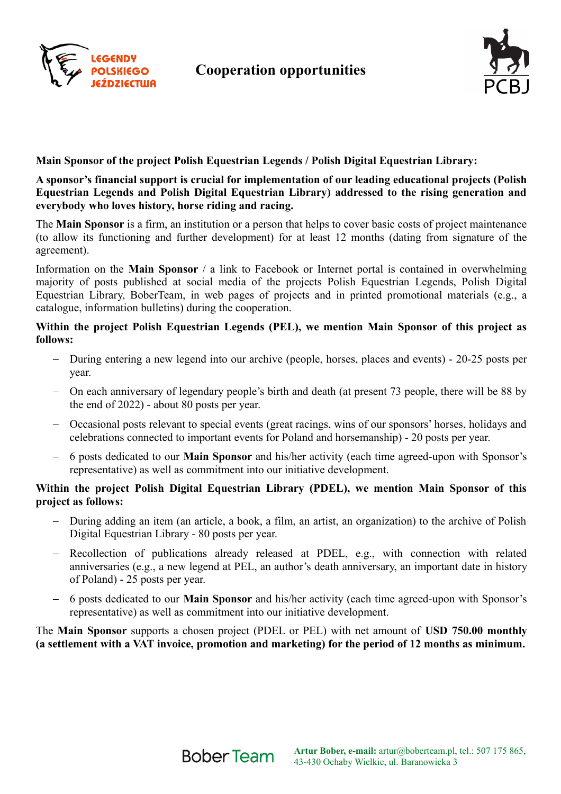

# **Cooperation opportunities**



## **Main Sponsor of the project Polish Equestrian Legends / Polish Digital Equestrian Library:**

**A sponsor's financial support is crucial for implementation of our leading educational projects (Polish Equestrian Legends and Polish Digital Equestrian Library) addressed to the rising generation and everybody who loves history, horse riding and racing.**

The **Main Sponsor** is a firm, an institution or a person that helps to cover basic costs of project maintenance (to allow its functioning and further development) for at least 12 months (dating from signature of the agreement).

Information on the **Main Sponsor** / a link to Facebook or Internet portal is contained in overwhelming majority of posts published at social media of the projects Polish Equestrian Legends, Polish Digital Equestrian Library, BoberTeam, in web pages of projects and in printed promotional materials (e.g., a catalogue, information bulletins) during the cooperation.

### **Within the project Polish Equestrian Legends (PEL), we mention Main Sponsor of this project as follows:**

- During entering a new legend into our archive (people, horses, places and events) 20-25 posts per year.
- On each anniversary of legendary people's birth and death (at present 73 people, there will be 88 by the end of 2022) - about 80 posts per year.
- Occasional posts relevant to special events (great racings, wins of our sponsors' horses, holidays and celebrations connected to important events for Poland and horsemanship) - 20 posts per year.
- 6 posts dedicated to our **Main Sponsor** and his/her activity (each time agreed-upon with Sponsor's representative) as well as commitment into our initiative development.

## **Within the project Polish Digital Equestrian Library (PDEL), we mention Main Sponsor of this project as follows:**

- During adding an item (an article, a book, a film, an artist, an organization) to the archive of Polish Digital Equestrian Library - 80 posts per year.
- Recollection of publications already released at PDEL, e.g., with connection with related anniversaries (e.g., a new legend at PEL, an author's death anniversary, an important date in history of Poland) - 25 posts per year.
- 6 posts dedicated to our **Main Sponsor** and his/her activity (each time agreed-upon with Sponsor's representative) as well as commitment into our initiative development.

The **Main Sponsor** supports a chosen project (PDEL or PEL) with net amount of **USD 750.00 monthly (a settlement with a VAT invoice, promotion and marketing) for the period of 12 months as minimum.**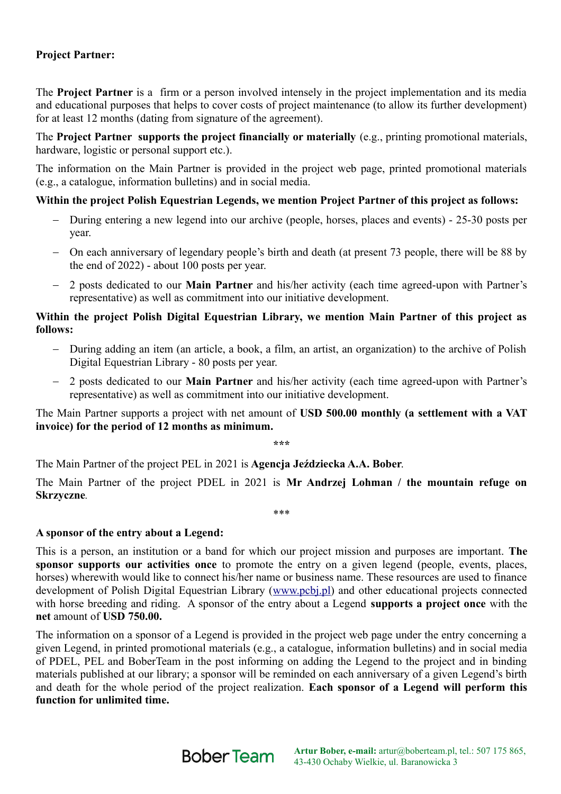# **Project Partner:**

The **Project Partner** is a firm or a person involved intensely in the project implementation and its media and educational purposes that helps to cover costs of project maintenance (to allow its further development) for at least 12 months (dating from signature of the agreement).

The **Project Partner supports the project financially or materially** (e.g., printing promotional materials, hardware, logistic or personal support etc.).

The information on the Main Partner is provided in the project web page, printed promotional materials (e.g., a catalogue, information bulletins) and in social media.

#### **Within the project Polish Equestrian Legends, we mention Project Partner of this project as follows:**

- During entering a new legend into our archive (people, horses, places and events) 25-30 posts per year.
- On each anniversary of legendary people's birth and death (at present 73 people, there will be 88 by the end of 2022) - about 100 posts per year.
- 2 posts dedicated to our **Main Partner** and his/her activity (each time agreed-upon with Partner's representative) as well as commitment into our initiative development.

## **Within the project Polish Digital Equestrian Library, we mention Main Partner of this project as follows:**

- During adding an item (an article, a book, a film, an artist, an organization) to the archive of Polish Digital Equestrian Library - 80 posts per year.
- 2 posts dedicated to our **Main Partner** and his/her activity (each time agreed-upon with Partner's representative) as well as commitment into our initiative development.

The Main Partner supports a project with net amount of **USD 500.00 monthly (a settlement with a VAT invoice) for the period of 12 months as minimum.**

**\*\*\***

The Main Partner of the project PEL in 2021 is **Agencja Jeździecka A.A. Bober**.

The Main Partner of the project PDEL in 2021 is **Mr Andrzej Lohman / the mountain refuge on Skrzyczne***.*

\*\*\*

#### **A sponsor of the entry about a Legend:**

This is a person, an institution or a band for which our project mission and purposes are important. **The sponsor supports our activities once** to promote the entry on a given legend (people, events, places, horses) wherewith would like to connect his/her name or business name. These resources are used to finance development of Polish Digital Equestrian Library [\(www.pcbj.pl\)](http://www.pcbj.pl/) and other educational projects connected with horse breeding and riding. A sponsor of the entry about a Legend **supports a project once** with the **net** amount of **USD 750.00.**

The information on a sponsor of a Legend is provided in the project web page under the entry concerning a given Legend, in printed promotional materials (e.g., a catalogue, information bulletins) and in social media of PDEL, PEL and BoberTeam in the post informing on adding the Legend to the project and in binding materials published at our library; a sponsor will be reminded on each anniversary of a given Legend's birth and death for the whole period of the project realization. **Each sponsor of a Legend will perform this function for unlimited time.**